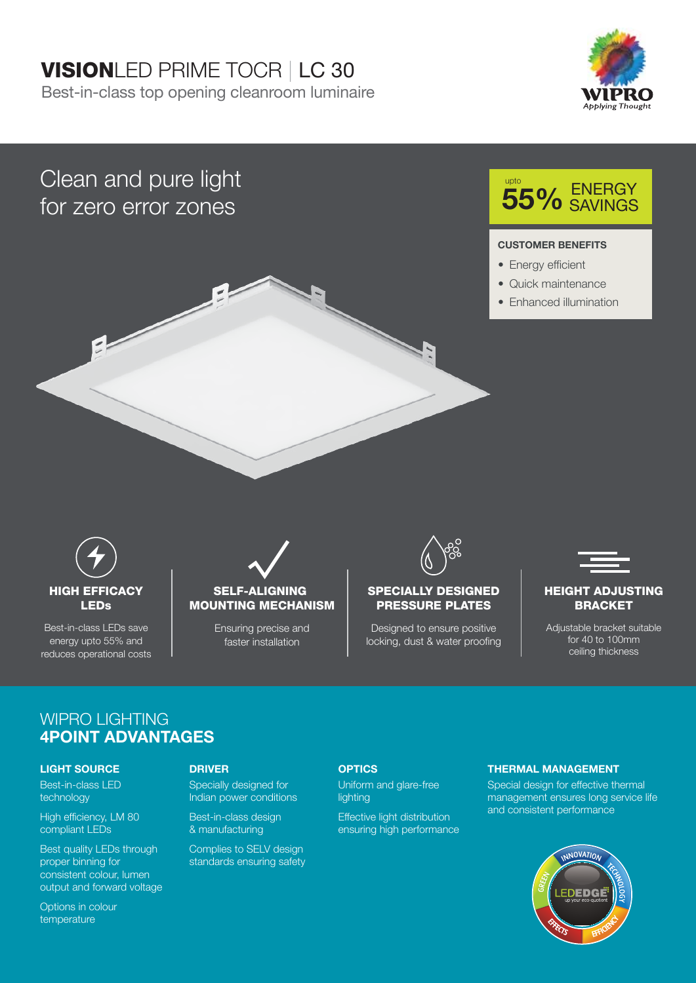## VISIONLED PRIME TOCR | LC 30

Best-in-class top opening cleanroom luminaire



## Clean and pure light for zero error zones



# **55%** ENERGY

#### **CUSTOMER BENEFITS**

- Energy efficient
- Quick maintenance
- Enhanced illumination



Best-in-class LEDs save energy upto 55% and reduces operational costs

#### SELF-ALIGNING MOUNTING MECHANISM

Ensuring precise and faster installation



#### SPECIALLY DESIGNED PRESSURE PLATES

Designed to ensure positive locking, dust & water proofing



#### HEIGHT ADJUSTING **BRACKET**

Adjustable bracket suitable for 40 to 100mm ceiling thickness

#### WIPRO LIGHTING **4POINT ADVANTAGES**

#### **LIGHT SOURCE**

Best-in-class LED technology

High efficiency, LM 80 compliant LEDs

Best quality LEDs through proper binning for consistent colour, lumen output and forward voltage

Specially designed for Indian power conditions

Best-in-class design & manufacturing

Complies to SELV design standards ensuring safety

#### **DRIVER OPTICS**

Uniform and glare-free lighting

Effective light distribution ensuring high performance

#### **THERMAL MANAGEMENT**

Special design for effective thermal management ensures long service life and consistent performance



Options in colour temperature